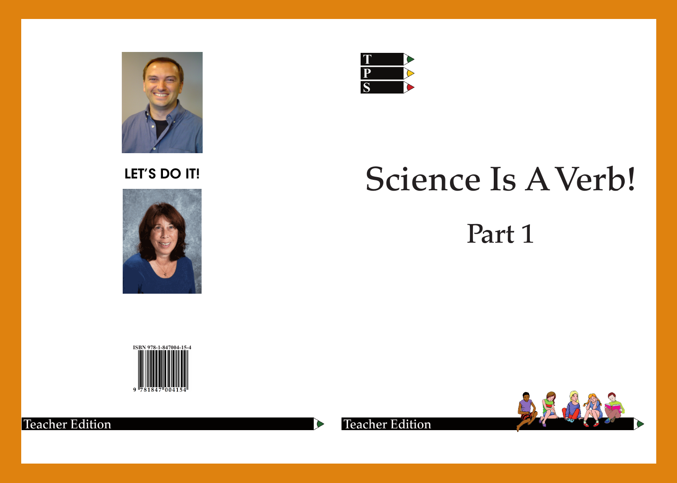

## LET'S DO IT!





# Science Is A Verb!

## Part 1







 $\blacktriangleright$ 

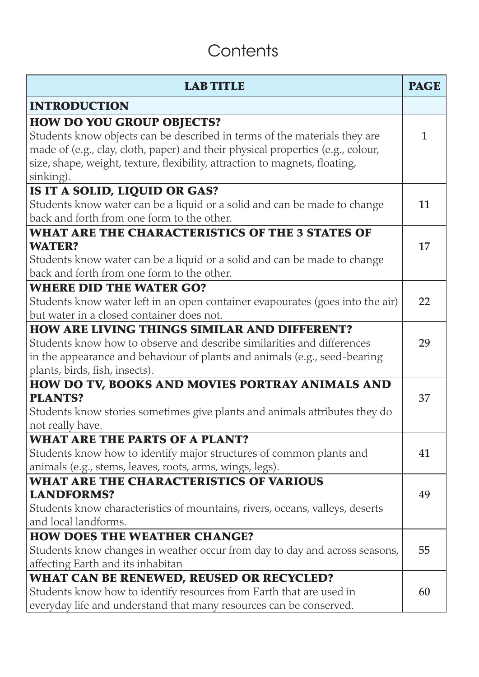## **Contents**

| <b>LAB TITLE</b>                                                                                                                                                                                                                                                                             | <b>PAGE</b> |
|----------------------------------------------------------------------------------------------------------------------------------------------------------------------------------------------------------------------------------------------------------------------------------------------|-------------|
| <b>INTRODUCTION</b>                                                                                                                                                                                                                                                                          |             |
| <b>HOW DO YOU GROUP OBJECTS?</b><br>Students know objects can be described in terms of the materials they are<br>made of (e.g., clay, cloth, paper) and their physical properties (e.g., colour,<br>size, shape, weight, texture, flexibility, attraction to magnets, floating,<br>sinking). | 1           |
| IS IT A SOLID, LIQUID OR GAS?<br>Students know water can be a liquid or a solid and can be made to change<br>back and forth from one form to the other.                                                                                                                                      | 11          |
| WHAT ARE THE CHARACTERISTICS OF THE 3 STATES OF<br><b>WATER?</b><br>Students know water can be a liquid or a solid and can be made to change<br>back and forth from one form to the other.                                                                                                   | 17          |
| <b>WHERE DID THE WATER GO?</b><br>Students know water left in an open container evapourates (goes into the air)<br>but water in a closed container does not.                                                                                                                                 | 22          |
| <b>HOW ARE LIVING THINGS SIMILAR AND DIFFERENT?</b><br>Students know how to observe and describe similarities and differences<br>in the appearance and behaviour of plants and animals (e.g., seed-bearing<br>plants, birds, fish, insects).                                                 | 29          |
| HOW DO TV, BOOKS AND MOVIES PORTRAY ANIMALS AND<br><b>PLANTS?</b><br>Students know stories sometimes give plants and animals attributes they do<br>not really have.                                                                                                                          | 37          |
| <b>WHAT ARE THE PARTS OF A PLANT?</b><br>Students know how to identify major structures of common plants and<br>animals (e.g., stems, leaves, roots, arms, wings, legs).                                                                                                                     | 41          |
| <b>WHAT ARE THE CHARACTERISTICS OF VARIOUS</b><br><b>LANDFORMS?</b><br>Students know characteristics of mountains, rivers, oceans, valleys, deserts<br>and local landforms.                                                                                                                  | 49          |
| <b>HOW DOES THE WEATHER CHANGE?</b><br>Students know changes in weather occur from day to day and across seasons,<br>affecting Earth and its inhabitan                                                                                                                                       | 55          |
| WHAT CAN BE RENEWED, REUSED OR RECYCLED?<br>Students know how to identify resources from Earth that are used in<br>everyday life and understand that many resources can be conserved.                                                                                                        | 60          |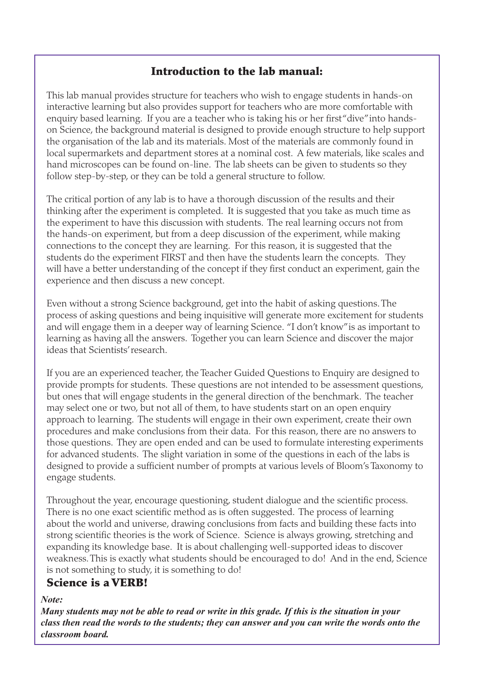#### Introduction to the lab manual:

This lab manual provides structure for teachers who wish to engage students in hands-on interactive learning but also provides support for teachers who are more comfortable with enquiry based learning. If you are a teacher who is taking his or her first "dive" into handson Science, the background material is designed to provide enough structure to help support the organisation of the lab and its materials. Most of the materials are commonly found in local supermarkets and department stores at a nominal cost. A few materials, like scales and hand microscopes can be found on-line. The lab sheets can be given to students so they follow step-by-step, or they can be told a general structure to follow.

The critical portion of any lab is to have a thorough discussion of the results and their thinking after the experiment is completed. It is suggested that you take as much time as the experiment to have this discussion with students. The real learning occurs not from the hands-on experiment, but from a deep discussion of the experiment, while making connections to the concept they are learning. For this reason, it is suggested that the students do the experiment FIRST and then have the students learn the concepts. They will have a better understanding of the concept if they first conduct an experiment, gain the experience and then discuss a new concept.

Even without a strong Science background, get into the habit of asking questions. The process of asking questions and being inquisitive will generate more excitement for students and will engage them in a deeper way of learning Science. "I don't know" is as important to learning as having all the answers. Together you can learn Science and discover the major ideas that Scientists' research.

If you are an experienced teacher, the Teacher Guided Questions to Enquiry are designed to provide prompts for students. These questions are not intended to be assessment questions, but ones that will engage students in the general direction of the benchmark. The teacher may select one or two, but not all of them, to have students start on an open enquiry approach to learning. The students will engage in their own experiment, create their own procedures and make conclusions from their data. For this reason, there are no answers to those questions. They are open ended and can be used to formulate interesting experiments for advanced students. The slight variation in some of the questions in each of the labs is designed to provide a sufficient number of prompts at various levels of Bloom's Taxonomy to engage students.

Throughout the year, encourage questioning, student dialogue and the scientific process. There is no one exact scientific method as is often suggested. The process of learning about the world and universe, drawing conclusions from facts and building these facts into strong scientific theories is the work of Science. Science is always growing, stretching and expanding its knowledge base. It is about challenging well-supported ideas to discover weakness. This is exactly what students should be encouraged to do! And in the end, Science is not something to study, it is something to do!

#### Science is a VERB!

#### *Note:*

*Many students may not be able to read or write in this grade. If this is the situation in your class then read the words to the students; they can answer and you can write the words onto the classroom board.*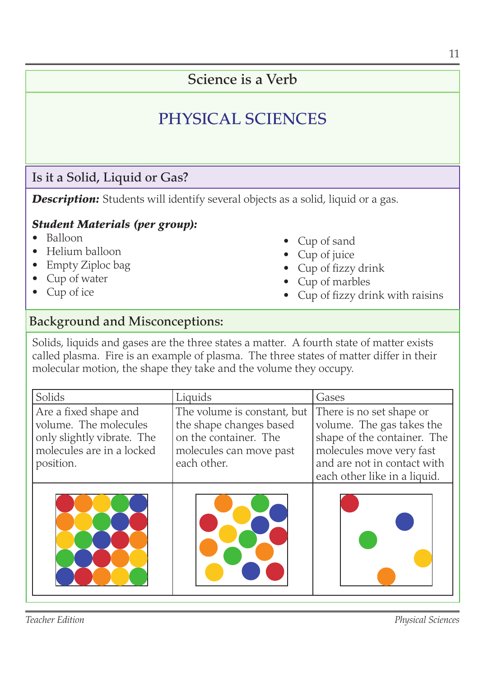### Science is a Verb

## PHYSICAL SCIENCES

#### Is it a Solid, Liquid or Gas?

**Description:** Students will identify several objects as a solid, liquid or a gas.

#### *Student Materials (per group):*

- Balloon •
- Helium balloon •
- Empty Ziploc bag •
- Cup of water •
- Cup of ice •
- Cup of sand
- Cup of juice
- Cup of fizzy drink
- Cup of marbles
- Cup of fizzy drink with raisins •

#### Background and Misconceptions:

Solids, liquids and gases are the three states a matter. A fourth state of matter exists called plasma. Fire is an example of plasma. The three states of matter differ in their molecular motion, the shape they take and the volume they occupy.

| Solids                                                                                                                 | Liquids                                                                                                                   | Gases                                                                                                                                                                           |
|------------------------------------------------------------------------------------------------------------------------|---------------------------------------------------------------------------------------------------------------------------|---------------------------------------------------------------------------------------------------------------------------------------------------------------------------------|
| Are a fixed shape and<br>volume. The molecules<br>only slightly vibrate. The<br>molecules are in a locked<br>position. | The volume is constant, but<br>the shape changes based<br>on the container. The<br>molecules can move past<br>each other. | There is no set shape or<br>volume. The gas takes the<br>shape of the container. The<br>molecules move very fast<br>and are not in contact with<br>each other like in a liquid. |
|                                                                                                                        |                                                                                                                           |                                                                                                                                                                                 |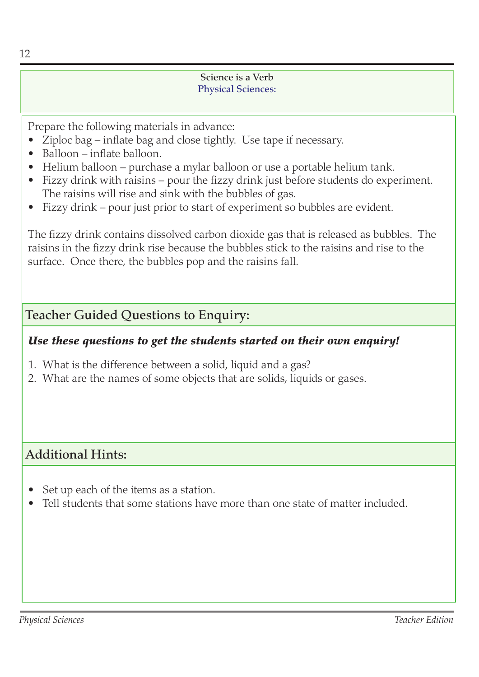#### Science is a Verb Physical Sciences:

Prepare the following materials in advance:

- Ziploc bag inflate bag and close tightly. Use tape if necessary.
- Balloon inflate balloon.
- Helium balloon purchase a mylar balloon or use a portable helium tank.
- Fizzy drink with raisins pour the fizzy drink just before students do experiment. The raisins will rise and sink with the bubbles of gas.
- Fizzy drink pour just prior to start of experiment so bubbles are evident.

The fizzy drink contains dissolved carbon dioxide gas that is released as bubbles. The raisins in the fizzy drink rise because the bubbles stick to the raisins and rise to the surface. Once there, the bubbles pop and the raisins fall.

#### Teacher Guided Questions to Enquiry:

#### *Use these questions to get the students started on their own enquiry!*

- What is the difference between a solid, liquid and a gas? 1.
- What are the names of some objects that are solids, liquids or gases. 2.

#### Additional Hints:

- Set up each of the items as a station. •
- Tell students that some stations have more than one state of matter included. •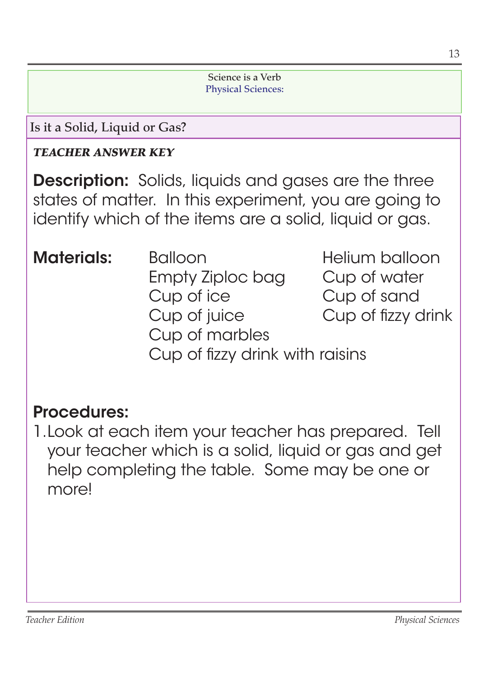#### Science is a Verb Physical Sciences:

Is it a Solid, Liquid or Gas?

#### *TEACHER ANSWER KEY*

**Description:** Solids, liquids and gases are the three states of matter. In this experiment, you are going to identify which of the items are a solid, liquid or gas.

- **Materials:** Balloon Helium balloon Empty Ziploc bag Cup of water Cup of ice Cup of sand Cup of juice Cup of fizzy drink Cup of marbles
	-
	- Cup of fizzy drink with raisins

## Procedures:

1. Look at each item your teacher has prepared. Tell your teacher which is a solid, liquid or gas and get help completing the table. Some may be one or more!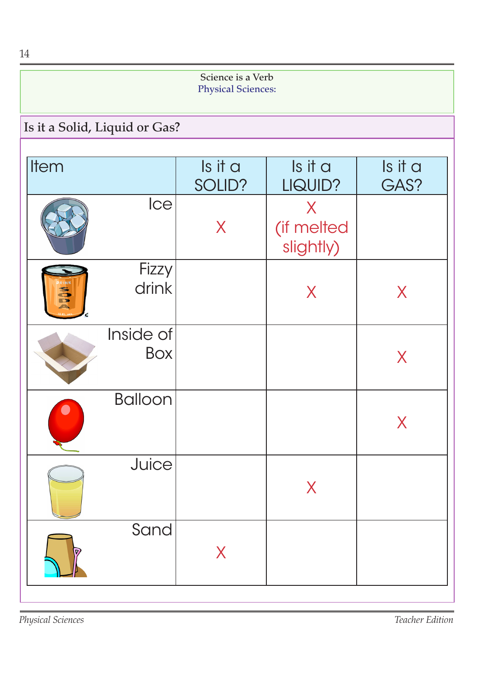| 14                                             |                  |                   |                              |                 |  |  |
|------------------------------------------------|------------------|-------------------|------------------------------|-----------------|--|--|
| Science is a Verb<br><b>Physical Sciences:</b> |                  |                   |                              |                 |  |  |
| Is it a Solid, Liquid or Gas?                  |                  |                   |                              |                 |  |  |
| Item                                           |                  | Is it a<br>SOLID? | Is it a<br>LIQUID?           | Is it a<br>GAS? |  |  |
|                                                | Ice              | X                 | X<br>(if melted<br>slightly) |                 |  |  |
| RINK<br><b>NODE</b>                            | Fizzy<br>drink   |                   | X                            | X               |  |  |
|                                                | Inside of<br>Box |                   |                              | X               |  |  |
|                                                | <b>Balloon</b>   |                   |                              | X               |  |  |
|                                                | Juice            |                   | X                            |                 |  |  |
|                                                | Sand             | X                 |                              |                 |  |  |

*Physical Sciences Teacher Edition*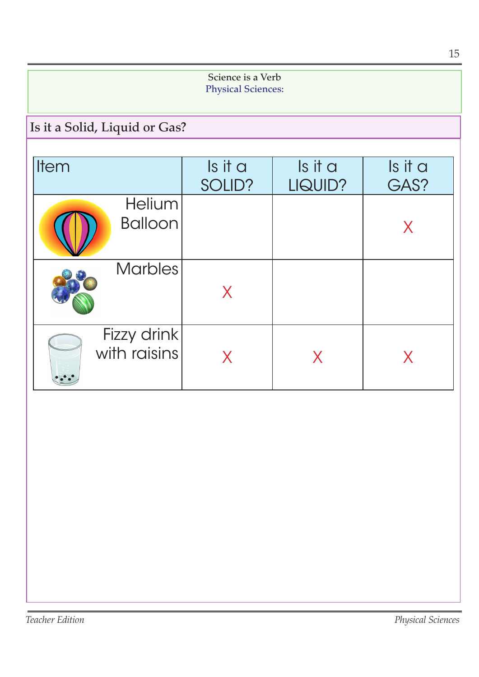|                                                |                   |                    | 15              |  |  |
|------------------------------------------------|-------------------|--------------------|-----------------|--|--|
| Science is a Verb<br><b>Physical Sciences:</b> |                   |                    |                 |  |  |
| Is it a Solid, Liquid or Gas?                  |                   |                    |                 |  |  |
| Item                                           | Is it a<br>SOLID? | Is it a<br>LIQUID? | Is it a<br>GAS? |  |  |
| <b>Helium</b><br><b>Balloon</b>                |                   |                    | X               |  |  |
| <b>Marbles</b>                                 | X                 |                    |                 |  |  |
| Fizzy drink<br>with raisins                    | X                 | X                  | X               |  |  |